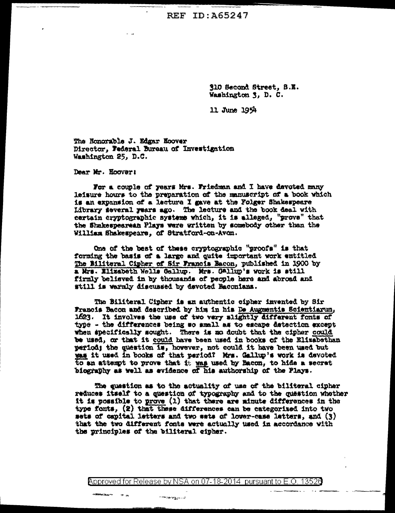**REF ID: A65247** 

310 Second Street, S.E. Washington 3, D. C.

11 June 1954

The Honorable J. Edgar Hoover Director, Federal Bureau of Investigation Washington 25, D.C.

Dear Mr. Hoover:

For a couple of years Mrs. Friedman and I have devoted many leisure hours to the preparation of the manuscript of a book which is an expansion of a lecture I gave at the Folger Shakespeare Library several years ago. The lecture and the book deal with certain cryptographic systems which, it is alleged, "prove" that the Shakespearean Plays were written by somebody other than the William Shakespeare, of Stratford-on-Avon.

One of the best of these cryptographic "proofs" is that forming the basis of a large and quite important work entitled The Biliteral Cipher of Sir Francis Bacon, published in 1900 by a Mrs. Elizabeth Wells Gallup. Mrs. Gallup's work is still firmly believed in by thousands of people here and abroad and still is warmly discussed by devoted Baconians.

The Biliteral Cipher is an authentic cipher invented by Sir Francis Bacon and described by him in his De Augmentis Scientiarum, 1623. It involves the use of two very slightly different fonts of type - the differences being so small as to escape datection except when specifically sought. There is no doubt that the cipher could be used, or that it could have been used in books of the Elizabethan period; the question is, however, not could it have been used but was it used in books of that period? Mrs. Gallup's work is devoted to an attempt to prove that it was used by Bacon, to hide a secret biography as well as evidence of his authorship of the Plays.

The question as to the actuality of use of the biliteral cipher reduces itself to a question of typography and to the question whether it is possible to prove (1) that there are minute differences in the type fonts, (2) that these differences can be categorized into two sets of capital letters and two sets of lower-case letters, and (3) that the two different fonts were actually used in accordance with the principles of the biliteral cipher.

Approved for Release by NSA on 07-18-2014 pursuant to E.O. 13526

r materij<sub>st</sub>u La